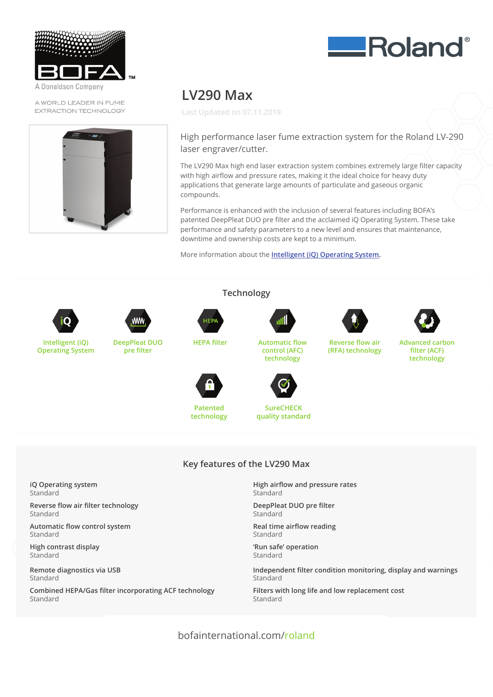

Donaldson Company

A WORLD LEADER IN FUME EXTRACTION TECHNOLOGY



## **LV290 Max** High performance laser fume extraction system for the Roland LV-290

**Last Updated on 07.11.2019** laser engraver/cutter.

High performance laser fume extraction system for the Roland LV-290 laser engraver/cutter. and applications that generate large amounts of particulate and gaseous organiculate and gaseous organiculate and gaseous organiculate and gaseous organiculate and gaseous organiculate and gaseous organiculate and gaseous application internet that is and continued and participate and gaseous organiculate and gaseous organiculate a

The LV290 Max high end laser extraction system combines extremely (arge filter capacity with high airflow and pressure rates, making it the ideal choice for heavy duty<br>. mance is more and pressere reces, maning is the idea ensies for nearly dary<br>applications that generate large amounts of particulate and gaseous organic compounds. The LV290 Max high end large filter capacity large filter capacity large filter capacity large filt applications that generate large amounts of particulate and gaseous organic<br>compounde  $p_{\text{c}}$  and safety parameters to a new level and ensures that maintenance,  $p_{\text{c}}$ 

Performance is enhanced with the inclusion of several features including BOFA's refrommate is emigriced with the inclusion of several reductes including borres<br>patented DeepPleat DUO pre filter and the acclaimed iQ Operating System. These take parented beep reat boo pre meer and the acclamicancy operating system. These performance and safety parameters to a new level and ensures that maintenance, downtime and ownership costs are kept to a minimum.

More information about the **Intelligent (iQ) Operating System.** port information about the <u>intelligent (IQ) operating bystem</u>.



**Operating System**



**DeepPleat DUO pre filter**



**Patented technology**

**Patented**



**Technology control (AFC) HEPA filter Automatic flow control (AFC) technology technology**



**HEPA filter Automatic flow SureCHECK technology quality standard**



**Advanced carbon**

**Advanced carbon filter (ACF) filter (ACF) technology** vanced carr

**Reverse flow air (RFA) technology**

### **Patented SureCHECK Key features of the LV290 Max**

**Technology**

**iQ Operating system** Standard

Standard **Reverse flow air filter technology** Standard

**i**<br>**i** continued in the continued in the continued in the continued in the continued in the continued in the conti Standard Standard Automatic flow control system **Automatic flow control system**

**Repeated Fighting Contrast display** Standard **iQ Operating system** Standard High contrast display

**Remote diagnostics via USB** Standard **Reverse flow air filter technology**

**High contrast display** Standard **Combined HEPA/Gas filter incorporating ACF technology** Standard **Automatic flow control system**

**Key features of the LV290 Max High airflow and pressure rates Standard** 

**KeepPleat DUO p**<br>Characters of the L DeepPleat DUO pre filter **Standard** 

**Health and all proportion Key Standard** Real time airflow reading

**Run sale operation** Standard **High airflow and pressure rates** Standard **Real time airflow reading** 'Run safe' operation

Independent filter condition monitoring, display and warnings **Deepleat Duo present Duo present Duo** Contact BOFA at **https://bofainternational.com/en/contact/**

corporating ACF technology<br>
Filters with long life and low replacement cost **Real time and the standard** 

bofainternational.com/roland bofainternational.com/roland

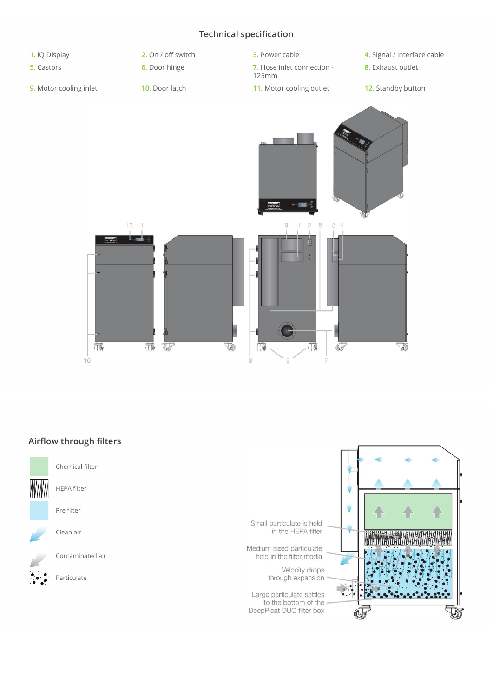### **Technical specification**



# **Airflow through filters Airflow through filters**

Chemical filter



HEPA filter

Pre filter

Clean air



Contaminated air

Particulate

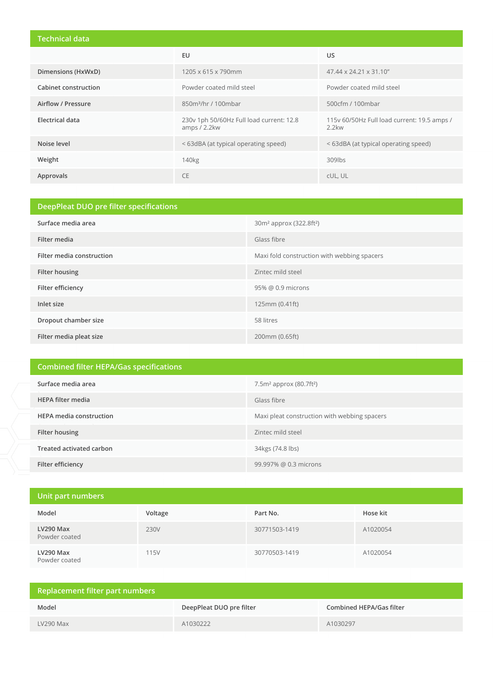#### **Technical data**

|                      | EU                                                       | US.                                                     |
|----------------------|----------------------------------------------------------|---------------------------------------------------------|
| Dimensions (HxWxD)   | 1205 x 615 x 790mm                                       | 47.44 x 24.21 x 31.10"                                  |
| Cabinet construction | Powder coated mild steel                                 | Powder coated mild steel                                |
| Airflow / Pressure   | 850m <sup>3</sup> /hr / 100mbar                          | 500cfm / 100mbar                                        |
| Electrical data      | 230v 1ph 50/60Hz Full load current: 12.8<br>amps / 2.2kw | 115v 60/50Hz Full load current: 19.5 amps /<br>$2.2$ kw |
| Noise level          | < 63dBA (at typical operating speed)                     | <63dBA (at typical operating speed)                     |
| Weight               | 140 <sub>kg</sub>                                        | 309lbs                                                  |
| Approvals            | <b>CE</b>                                                | cUL, UL                                                 |

## **DeepPleat DUO pre filter specifications Surface media area** 30m<sup>2</sup> approx (322.8ft<sup>2</sup>) **Filter media** Glass fibre **Filter media construction Maximilgible Maximilgible Maximilgible Maximilgible Maximilgible Maximilgible Maximilgible Maximilgible Maximilgible Maximilgible Maximilgible Maximilgible Maximilgible Maximilgible Maximilgibl Filter housing Contract Contract Contract Contract Contract Contract Contract Contract Contract Contract Contract Contract Contract Contract Contract Contract Contract Contract Contract Contract Contract Contract Contra Filter efficiency** 95% @ 0.9 microns **Inlet size** 125mm (0.41ft) **Dropout chamber size** 58 litres **Filter media pleat size** 200mm (0.65ft)

| <b>Combined filter HEPA/Gas specifications</b> |                                              |  |  |
|------------------------------------------------|----------------------------------------------|--|--|
| Surface media area                             | $7.5m2$ approx (80.7ft <sup>2</sup> )        |  |  |
| <b>HEPA filter media</b>                       | Glass fibre                                  |  |  |
| <b>HEPA</b> media construction                 | Maxi pleat construction with webbing spacers |  |  |
| Filter housing                                 | Zintec mild steel                            |  |  |
| Treated activated carbon                       | 34kgs (74.8 lbs)                             |  |  |
| Filter efficiency                              | 99.997% @ 0.3 microns                        |  |  |

| Unit part numbers          |         |               |          |  |  |
|----------------------------|---------|---------------|----------|--|--|
| Model                      | Voltage | Part No.      | Hose kit |  |  |
| LV290 Max<br>Powder coated | 230V    | 30771503-1419 | A1020054 |  |  |
| LV290 Max<br>Powder coated | 115V    | 30770503-1419 | A1020054 |  |  |

| Replacement filter part numbers |                          |                          |  |  |
|---------------------------------|--------------------------|--------------------------|--|--|
| Model                           | DeepPleat DUO pre filter | Combined HEPA/Gas filter |  |  |
| $LV290$ Max                     | A1030222                 | A1030297                 |  |  |